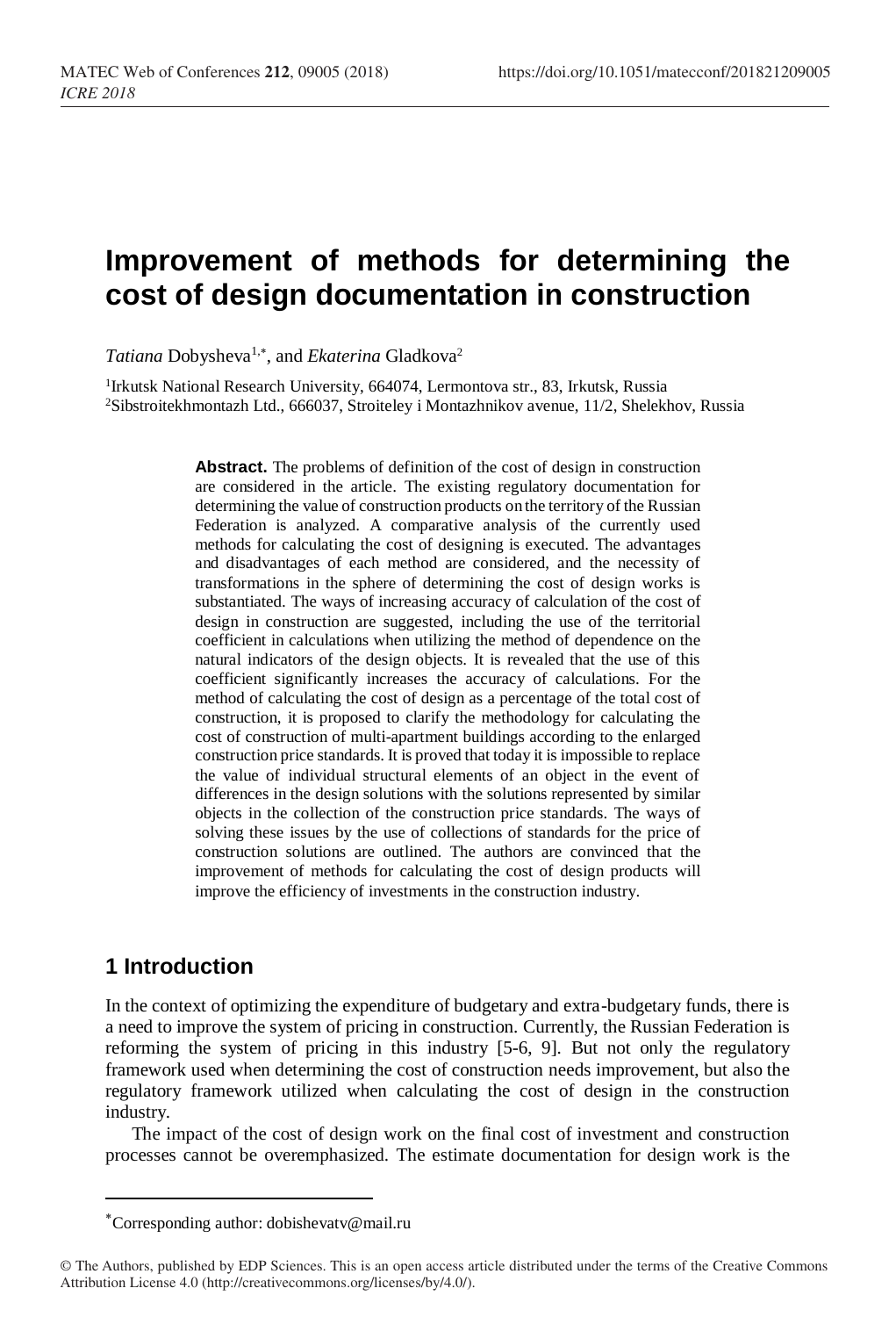# **Improvement of methods for determining the cost of design documentation in construction**

Tatiana Dobysheva<sup>1,\*</sup>, and *Ekaterina* Gladkova<sup>2</sup>

<sup>1</sup>Irkutsk National Research University, 664074, Lermontova str., 83, Irkutsk, Russia <sup>2</sup>Sibstroitekhmontazh Ltd., 666037, Stroiteley i Montazhnikov avenue, 11/2, Shelekhov, Russia

> **Abstract.** The problems of definition of the cost of design in construction are considered in the article. The existing regulatory documentation for determining the value of construction products on the territory of the Russian Federation is analyzed. A comparative analysis of the currently used methods for calculating the cost of designing is executed. The advantages and disadvantages of each method are considered, and the necessity of transformations in the sphere of determining the cost of design works is substantiated. The ways of increasing accuracy of calculation of the cost of design in construction are suggested, including the use of the territorial coefficient in calculations when utilizing the method of dependence on the natural indicators of the design objects. It is revealed that the use of this coefficient significantly increases the accuracy of calculations. For the method of calculating the cost of design as a percentage of the total cost of construction, it is proposed to clarify the methodology for calculating the cost of construction of multi-apartment buildings according to the enlarged construction price standards. It is proved that today it is impossible to replace the value of individual structural elements of an object in the event of differences in the design solutions with the solutions represented by similar objects in the collection of the construction price standards. The ways of solving these issues by the use of collections of standards for the price of construction solutions are outlined. The authors are convinced that the improvement of methods for calculating the cost of design products will improve the efficiency of investments in the construction industry.

## **1 Introduction**

 $\overline{\phantom{a}}$ 

In the context of optimizing the expenditure of budgetary and extra-budgetary funds, there is a need to improve the system of pricing in construction. Currently, the Russian Federation is reforming the system of pricing in this industry [5-6, 9]. But not only the regulatory framework used when determining the cost of construction needs improvement, but also the regulatory framework utilized when calculating the cost of design in the construction industry.

The impact of the cost of design work on the final cost of investment and construction processes cannot be overemphasized. The estimate documentation for design work is the

Corresponding author: dobishevatv@mail.ru

<sup>©</sup> The Authors, published by EDP Sciences. This is an open access article distributed under the terms of the Creative Commons Attribution License 4.0 (http://creativecommons.org/licenses/by/4.0/).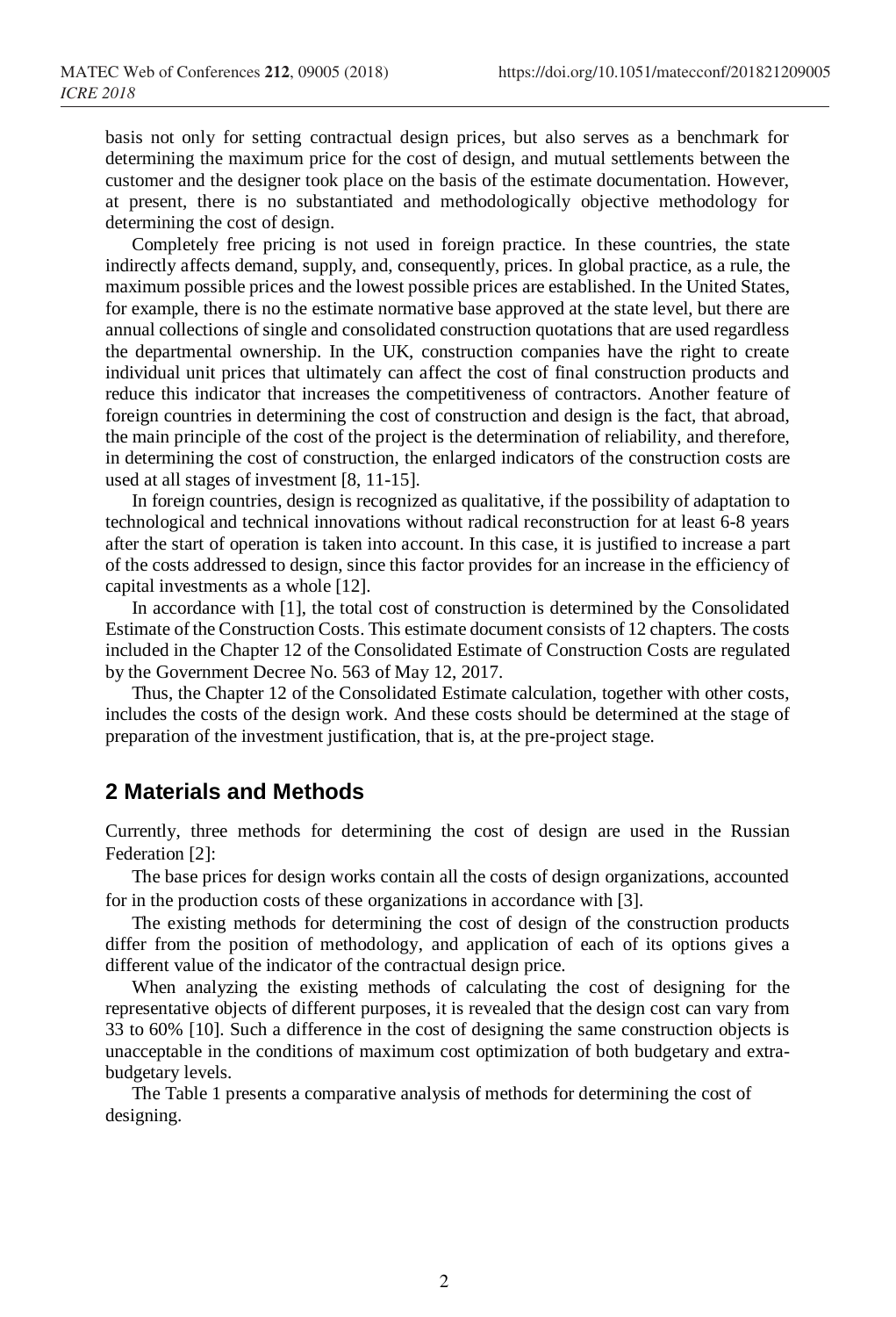basis not only for setting contractual design prices, but also serves as a benchmark for determining the maximum price for the cost of design, and mutual settlements between the customer and the designer took place on the basis of the estimate documentation. However, at present, there is no substantiated and methodologically objective methodology for determining the cost of design.

Completely free pricing is not used in foreign practice. In these countries, the state indirectly affects demand, supply, and, consequently, prices. In global practice, as a rule, the maximum possible prices and the lowest possible prices are established. In the United States, for example, there is no the estimate normative base approved at the state level, but there are annual collections of single and consolidated construction quotations that are used regardless the departmental ownership. In the UK, construction companies have the right to create individual unit prices that ultimately can affect the cost of final construction products and reduce this indicator that increases the competitiveness of contractors. Another feature of foreign countries in determining the cost of construction and design is the fact, that abroad, the main principle of the cost of the project is the determination of reliability, and therefore, in determining the cost of construction, the enlarged indicators of the construction costs are used at all stages of investment [8, 11-15].

In foreign countries, design is recognized as qualitative, if the possibility of adaptation to technological and technical innovations without radical reconstruction for at least 6-8 years after the start of operation is taken into account. In this case, it is justified to increase a part of the costs addressed to design, since this factor provides for an increase in the efficiency of capital investments as a whole [12].

In accordance with [1], the total cost of construction is determined by the Consolidated Estimate of the Construction Costs. This estimate document consists of 12 chapters. The costs included in the Chapter 12 of the Consolidated Estimate of Construction Costs are regulated by the Government Decree No. 563 of May 12, 2017.

Thus, the Chapter 12 of the Consolidated Estimate calculation, together with other costs, includes the costs of the design work. And these costs should be determined at the stage of preparation of the investment justification, that is, at the pre-project stage.

#### **2 Materials and Methods**

Currently, three methods for determining the cost of design are used in the Russian Federation [2]:

The base prices for design works contain all the costs of design organizations, accounted for in the production costs of these organizations in accordance with [3].

The existing methods for determining the cost of design of the construction products differ from the position of methodology, and application of each of its options gives a different value of the indicator of the contractual design price.

When analyzing the existing methods of calculating the cost of designing for the representative objects of different purposes, it is revealed that the design cost can vary from 33 to 60% [10]. Such a difference in the cost of designing the same construction objects is unacceptable in the conditions of maximum cost optimization of both budgetary and extrabudgetary levels.

The Table 1 presents a comparative analysis of methods for determining the cost of designing.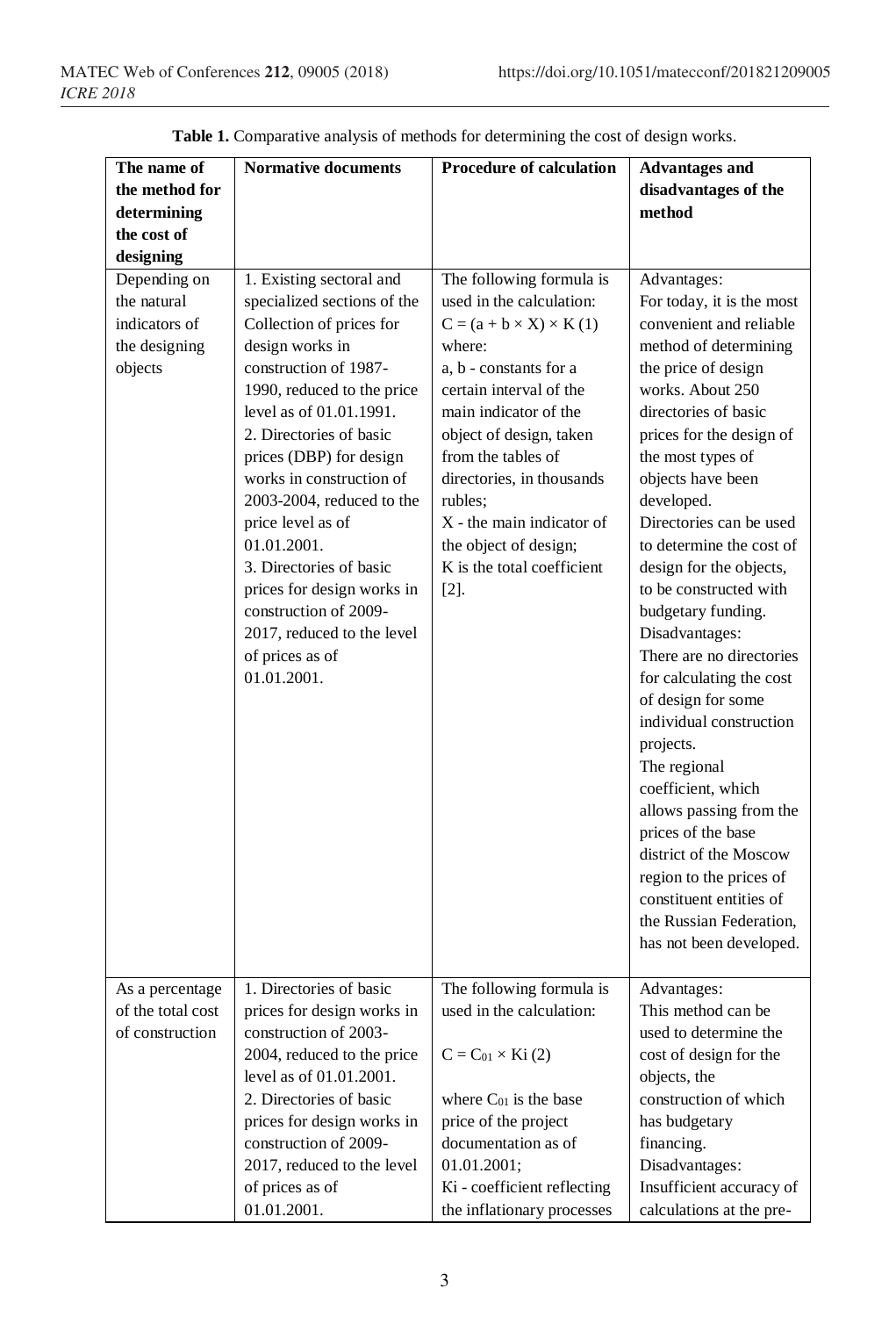| The name of                          | <b>Normative documents</b>                          | <b>Procedure of calculation</b>    | <b>Advantages and</b>                  |
|--------------------------------------|-----------------------------------------------------|------------------------------------|----------------------------------------|
| the method for                       |                                                     |                                    | disadvantages of the                   |
| determining                          |                                                     |                                    | method                                 |
| the cost of                          |                                                     |                                    |                                        |
| designing                            |                                                     |                                    |                                        |
| Depending on                         | 1. Existing sectoral and                            | The following formula is           | Advantages:                            |
| the natural                          | specialized sections of the                         | used in the calculation:           | For today, it is the most              |
| indicators of                        | Collection of prices for                            | $C = (a + b \times X) \times K(1)$ | convenient and reliable                |
| the designing                        | design works in                                     | where:                             | method of determining                  |
| objects                              | construction of 1987-                               | a, b - constants for a             | the price of design                    |
|                                      | 1990, reduced to the price                          | certain interval of the            | works. About 250                       |
|                                      | level as of 01.01.1991.                             | main indicator of the              | directories of basic                   |
|                                      | 2. Directories of basic                             | object of design, taken            | prices for the design of               |
|                                      | prices (DBP) for design                             | from the tables of                 | the most types of                      |
|                                      | works in construction of                            | directories, in thousands          | objects have been                      |
|                                      | $2003-2004$ , reduced to the                        | rubles:                            | developed.                             |
|                                      | price level as of                                   | $X$ - the main indicator of        | Directories can be used                |
|                                      | 01.01.2001.                                         | the object of design;              | to determine the cost of               |
|                                      | 3. Directories of basic                             | K is the total coefficient         | design for the objects,                |
|                                      | prices for design works in                          | $[2]$ .                            | to be constructed with                 |
|                                      | construction of 2009-                               |                                    | budgetary funding.                     |
|                                      | 2017, reduced to the level                          |                                    | Disadvantages:                         |
|                                      | of prices as of                                     |                                    | There are no directories               |
|                                      | 01.01.2001.                                         |                                    | for calculating the cost               |
|                                      |                                                     |                                    | of design for some                     |
|                                      |                                                     |                                    | individual construction                |
|                                      |                                                     |                                    | projects.                              |
|                                      |                                                     |                                    | The regional                           |
|                                      |                                                     |                                    | coefficient, which                     |
|                                      |                                                     |                                    | allows passing from the                |
|                                      |                                                     |                                    | prices of the base                     |
|                                      |                                                     |                                    | district of the Moscow                 |
|                                      |                                                     |                                    | region to the prices of                |
|                                      |                                                     |                                    | constituent entities of                |
|                                      |                                                     |                                    | the Russian Federation,                |
|                                      |                                                     |                                    | has not been developed.                |
|                                      | 1. Directories of basic                             | The following formula is           | Advantages:                            |
| As a percentage                      |                                                     | used in the calculation:           | This method can be                     |
| of the total cost<br>of construction | prices for design works in<br>construction of 2003- |                                    | used to determine the                  |
|                                      | 2004, reduced to the price                          |                                    |                                        |
|                                      | level as of 01.01.2001.                             | $C = C_{01} \times Ki(2)$          | cost of design for the<br>objects, the |
|                                      | 2. Directories of basic                             | where $C_{01}$ is the base         | construction of which                  |
|                                      | prices for design works in                          | price of the project               | has budgetary                          |
|                                      | construction of 2009-                               | documentation as of                | financing.                             |
|                                      | 2017, reduced to the level                          | 01.01.2001;                        | Disadvantages:                         |
|                                      | of prices as of                                     | Ki - coefficient reflecting        | Insufficient accuracy of               |
|                                      |                                                     |                                    |                                        |
|                                      | 01.01.2001.                                         | the inflationary processes         | calculations at the pre-               |

**Table 1.** Comparative analysis of methods for determining the cost of design works.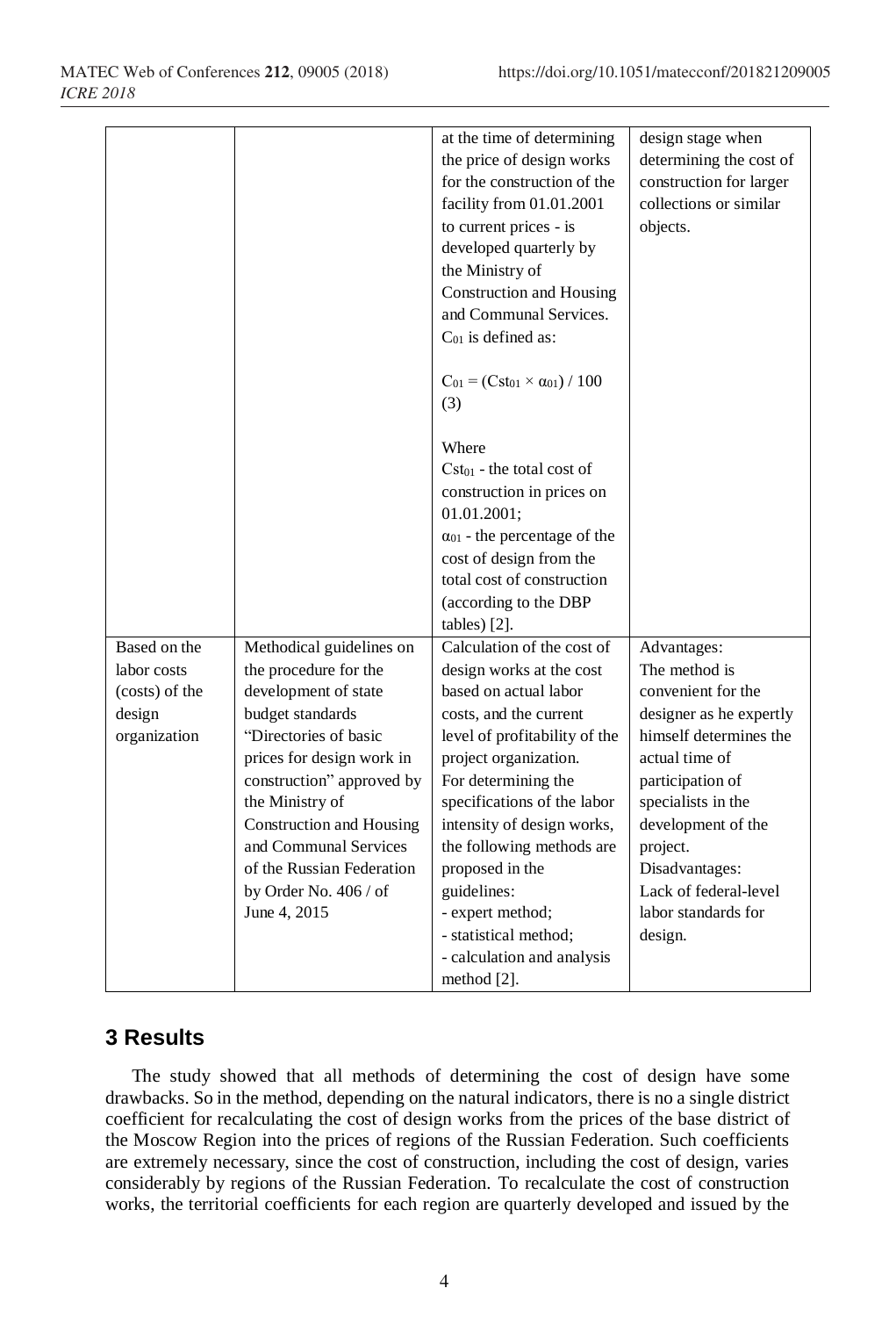| design stage when       |
|-------------------------|
|                         |
| determining the cost of |
| construction for larger |
| collections or similar  |
|                         |
|                         |
|                         |
|                         |
|                         |
|                         |
|                         |
|                         |
|                         |
|                         |
|                         |
|                         |
|                         |
|                         |
|                         |
|                         |
|                         |
|                         |
| Advantages:             |
| The method is           |
| convenient for the      |
| designer as he expertly |
| himself determines the  |
| actual time of          |
| participation of        |
| specialists in the      |
| development of the      |
|                         |
| Disadvantages:          |
|                         |
|                         |
| Lack of federal-level   |
| labor standards for     |
|                         |
|                         |

## **3 Results**

The study showed that all methods of determining the cost of design have some drawbacks. So in the method, depending on the natural indicators, there is no a single district coefficient for recalculating the cost of design works from the prices of the base district of the Moscow Region into the prices of regions of the Russian Federation. Such coefficients are extremely necessary, since the cost of construction, including the cost of design, varies considerably by regions of the Russian Federation. To recalculate the cost of construction works, the territorial coefficients for each region are quarterly developed and issued by the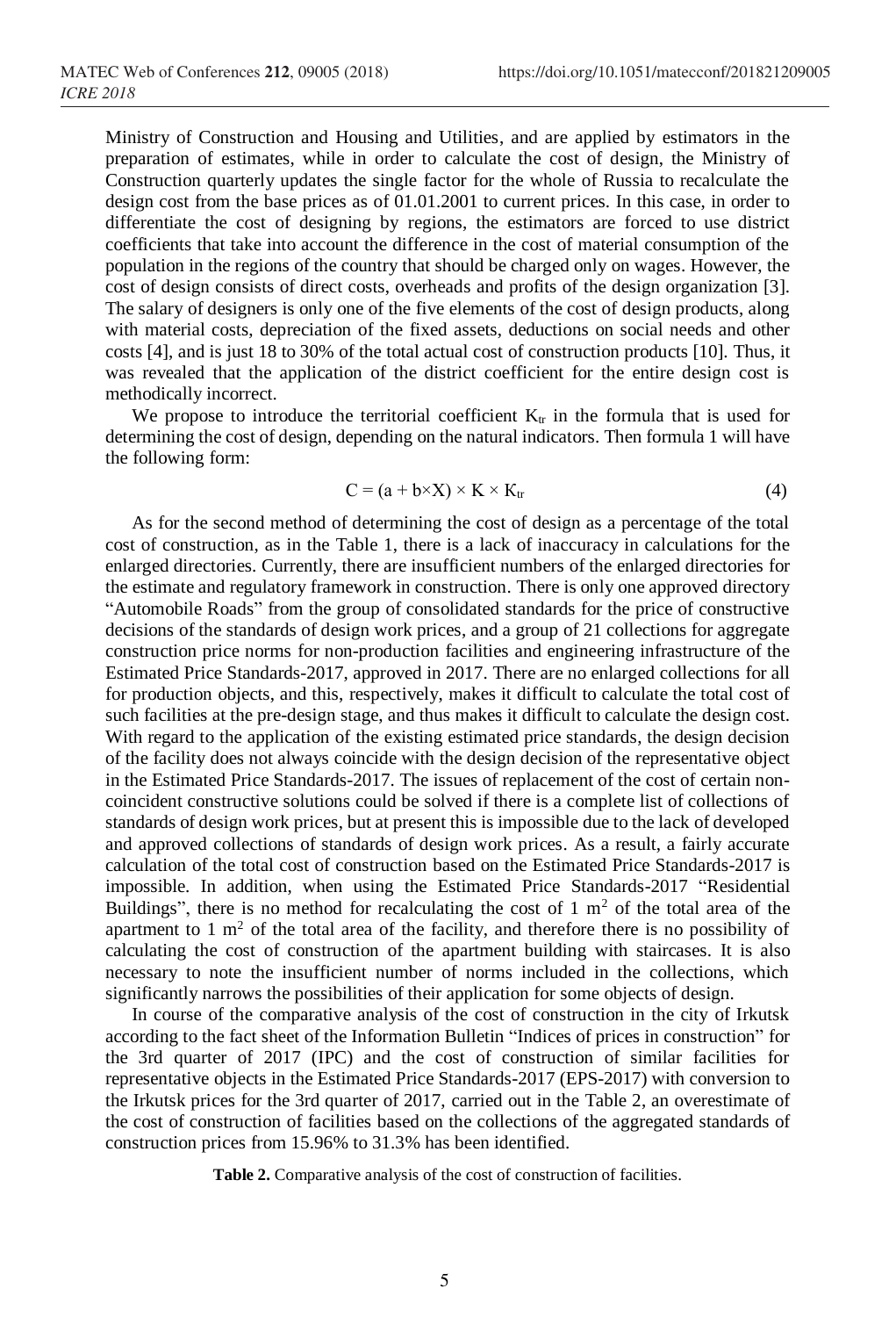Ministry of Construction and Housing and Utilities, and are applied by estimators in the preparation of estimates, while in order to calculate the cost of design, the Ministry of Construction quarterly updates the single factor for the whole of Russia to recalculate the design cost from the base prices as of 01.01.2001 to current prices. In this case, in order to differentiate the cost of designing by regions, the estimators are forced to use district coefficients that take into account the difference in the cost of material consumption of the population in the regions of the country that should be charged only on wages. However, the cost of design consists of direct costs, overheads and profits of the design organization [3]. The salary of designers is only one of the five elements of the cost of design products, along with material costs, depreciation of the fixed assets, deductions on social needs and other costs [4], and is just 18 to 30% of the total actual cost of construction products [10]. Thus, it was revealed that the application of the district coefficient for the entire design cost is methodically incorrect.

We propose to introduce the territorial coefficient  $K_{tr}$  in the formula that is used for determining the cost of design, depending on the natural indicators. Then formula 1 will have the following form:

$$
C = (a + b \times X) \times K \times K_{tr}
$$
 (4)

As for the second method of determining the cost of design as a percentage of the total cost of construction, as in the Table 1, there is a lack of inaccuracy in calculations for the enlarged directories. Currently, there are insufficient numbers of the enlarged directories for the estimate and regulatory framework in construction. There is only one approved directory "Automobile Roads" from the group of consolidated standards for the price of constructive decisions of the standards of design work prices, and a group of 21 collections for aggregate construction price norms for non-production facilities and engineering infrastructure of the Estimated Price Standards-2017, approved in 2017. There are no enlarged collections for all for production objects, and this, respectively, makes it difficult to calculate the total cost of such facilities at the pre-design stage, and thus makes it difficult to calculate the design cost. With regard to the application of the existing estimated price standards, the design decision of the facility does not always coincide with the design decision of the representative object in the Estimated Price Standards-2017. The issues of replacement of the cost of certain noncoincident constructive solutions could be solved if there is a complete list of collections of standards of design work prices, but at present this is impossible due to the lack of developed and approved collections of standards of design work prices. As a result, a fairly accurate calculation of the total cost of construction based on the Estimated Price Standards-2017 is impossible. In addition, when using the Estimated Price Standards-2017 "Residential Buildings", there is no method for recalculating the cost of  $1 \text{ m}^2$  of the total area of the apartment to  $1 \text{ m}^2$  of the total area of the facility, and therefore there is no possibility of calculating the cost of construction of the apartment building with staircases. It is also necessary to note the insufficient number of norms included in the collections, which significantly narrows the possibilities of their application for some objects of design.

In course of the comparative analysis of the cost of construction in the city of Irkutsk according to the fact sheet of the Information Bulletin "Indices of prices in construction" for the 3rd quarter of 2017 (IPC) and the cost of construction of similar facilities for representative objects in the Estimated Price Standards-2017 (EPS-2017) with conversion to the Irkutsk prices for the 3rd quarter of 2017, carried out in the Table 2, an overestimate of the cost of construction of facilities based on the collections of the aggregated standards of construction prices from 15.96% to 31.3% has been identified.

**Table 2.** Comparative analysis of the cost of construction of facilities.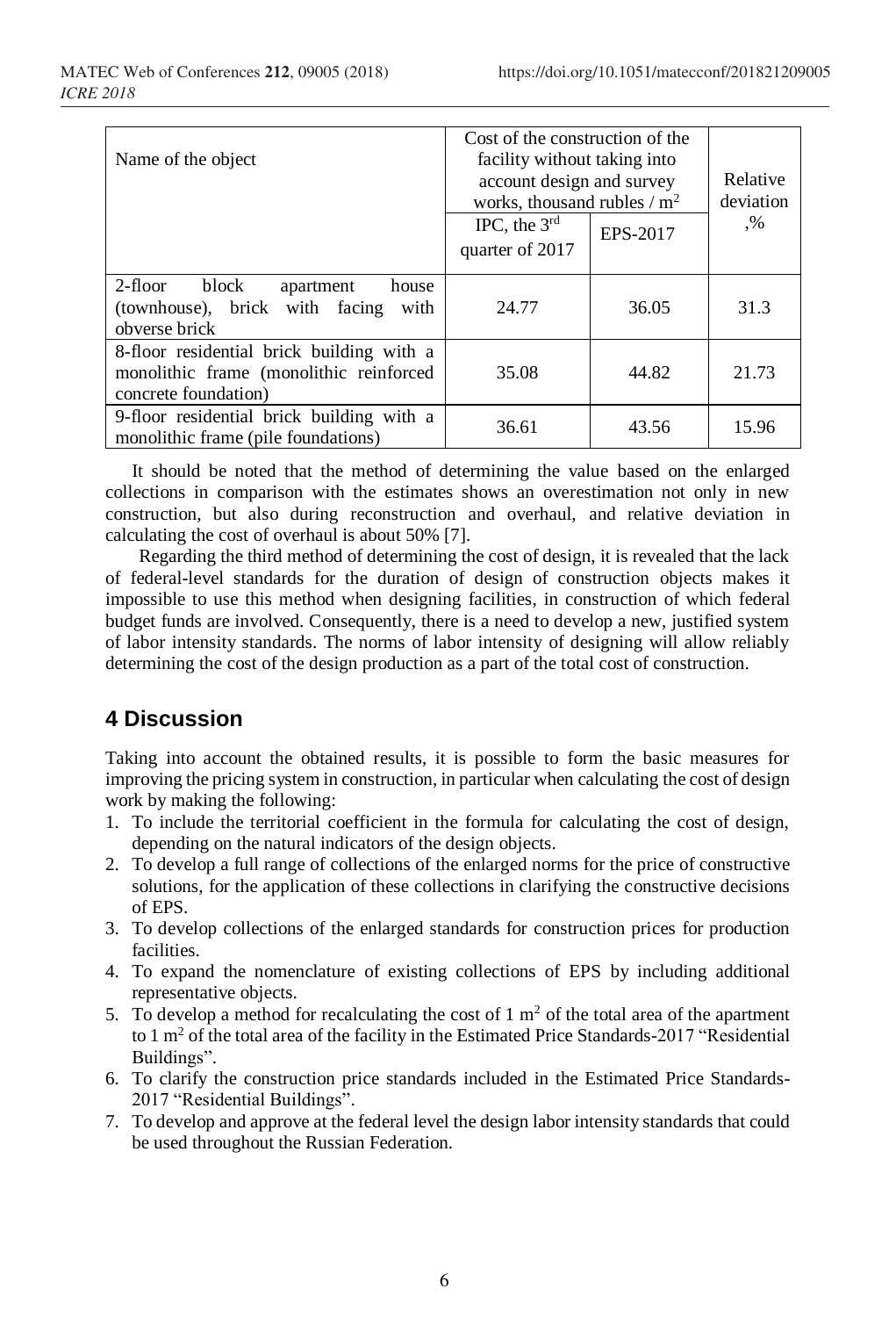| Name of the object                                                                                           | Cost of the construction of the<br>facility without taking into<br>account design and survey<br>works, thousand rubles / $m2$ |          | Relative<br>deviation |
|--------------------------------------------------------------------------------------------------------------|-------------------------------------------------------------------------------------------------------------------------------|----------|-----------------------|
|                                                                                                              | IPC, the $3rd$<br>quarter of 2017                                                                                             | EPS-2017 | $\cdot\%$             |
|                                                                                                              |                                                                                                                               |          |                       |
| 2-floor<br>block<br>house<br>apartment<br>(townhouse), brick with facing<br>with<br>obverse brick            | 24.77                                                                                                                         | 36.05    | 31.3                  |
| 8-floor residential brick building with a<br>monolithic frame (monolithic reinforced<br>concrete foundation) | 35.08                                                                                                                         | 44.82    | 21.73                 |
| 9-floor residential brick building with a<br>monolithic frame (pile foundations)                             | 36.61                                                                                                                         | 43.56    | 15.96                 |

It should be noted that the method of determining the value based on the enlarged collections in comparison with the estimates shows an overestimation not only in new construction, but also during reconstruction and overhaul, and relative deviation in calculating the cost of overhaul is about 50% [7].

Regarding the third method of determining the cost of design, it is revealed that the lack of federal-level standards for the duration of design of construction objects makes it impossible to use this method when designing facilities, in construction of which federal budget funds are involved. Consequently, there is a need to develop a new, justified system of labor intensity standards. The norms of labor intensity of designing will allow reliably determining the cost of the design production as a part of the total cost of construction.

## **4 Discussion**

Taking into account the obtained results, it is possible to form the basic measures for improving the pricing system in construction, in particular when calculating the cost of design work by making the following:

- 1. To include the territorial coefficient in the formula for calculating the cost of design, depending on the natural indicators of the design objects.
- 2. To develop a full range of collections of the enlarged norms for the price of constructive solutions, for the application of these collections in clarifying the constructive decisions of EPS.
- 3. To develop collections of the enlarged standards for construction prices for production facilities.
- 4. To expand the nomenclature of existing collections of EPS by including additional representative objects.
- 5. To develop a method for recalculating the cost of  $1 \text{ m}^2$  of the total area of the apartment to 1  $\text{m}^2$  of the total area of the facility in the Estimated Price Standards-2017 "Residential Buildings".
- 6. To clarify the construction price standards included in the Estimated Price Standards-2017 "Residential Buildings".
- 7. To develop and approve at the federal level the design labor intensity standards that could be used throughout the Russian Federation.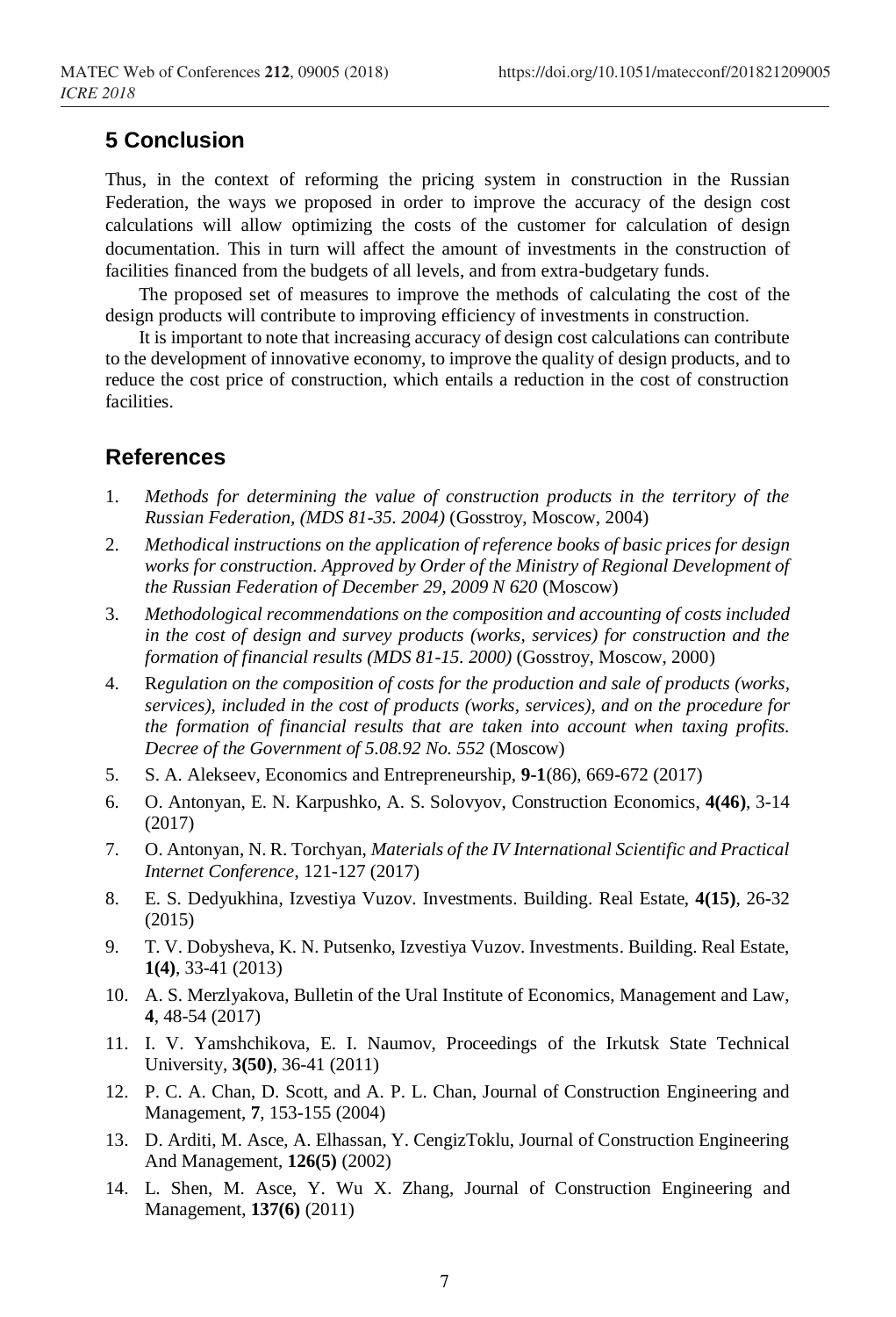## **5 Conclusion**

Thus, in the context of reforming the pricing system in construction in the Russian Federation, the ways we proposed in order to improve the accuracy of the design cost calculations will allow optimizing the costs of the customer for calculation of design documentation. This in turn will affect the amount of investments in the construction of facilities financed from the budgets of all levels, and from extra-budgetary funds.

The proposed set of measures to improve the methods of calculating the cost of the design products will contribute to improving efficiency of investments in construction.

It is important to note that increasing accuracy of design cost calculations can contribute to the development of innovative economy, to improve the quality of design products, and to reduce the cost price of construction, which entails a reduction in the cost of construction facilities.

#### **References**

- 1. *Methods for determining the value of construction products in the territory of the Russian Federation, (MDS 81-35. 2004)* (Gosstroy, Moscow, 2004)
- 2. *Methodical instructions on the application of reference books of basic prices for design works for construction. Approved by Order of the Ministry of Regional Development of the Russian Federation of December 29, 2009 N 620* (Moscow)
- 3. *Methodological recommendations on the composition and accounting of costs included in the cost of design and survey products (works, services) for construction and the formation of financial results (MDS 81-15. 2000)* (Gosstroy, Moscow, 2000)
- 4. R*egulation on the composition of costs for the production and sale of products (works, services), included in the cost of products (works, services), and on the procedure for the formation of financial results that are taken into account when taxing profits. Decree of the Government of 5.08.92 No. 552* (Moscow)
- 5. S. A. Alekseev, Economics and Entrepreneurship, **9-1**(86), 669-672 (2017)
- 6. O. Antonyan, E. N. Karpushko, A. S. Solovyov, Construction Economics, **4(46)**, 3-14 (2017)
- 7. O. Antonyan, N. R. Torchyan, *Materials of the IV International Scientific and Practical Internet Conference*, 121-127 (2017)
- 8. E. S. Dedyukhina, Izvestiya Vuzov. Investments. Building. Real Estate, **4(15)**, 26-32 (2015)
- 9. T. V. Dobysheva, K. N. Putsenko, Izvestiya Vuzov. Investments. Building. Real Estate, **1(4)**, 33-41 (2013)
- 10. A. S. Merzlyakova, Bulletin of the Ural Institute of Economics, Management and Law, **4**, 48-54 (2017)
- 11. I. V. Yamshchikova, E. I. Naumov, Proceedings of the Irkutsk State Technical University, **3(50)**, 36-41 (2011)
- 12. P. C. A. Chan, D. Scott, and A. P. L. Chan, Journal of Construction Engineering and Management, **7**, 153-155 (2004)
- 13. D. Arditi, M. Asce, A. Elhassan, Y. CengizToklu, Journal of Construction Engineering And Management, **126(5)** (2002)
- 14. L. Shen, M. Asce, Y. Wu X. Zhang, Journal of Construction Engineering and Management, **137(6)** (2011)